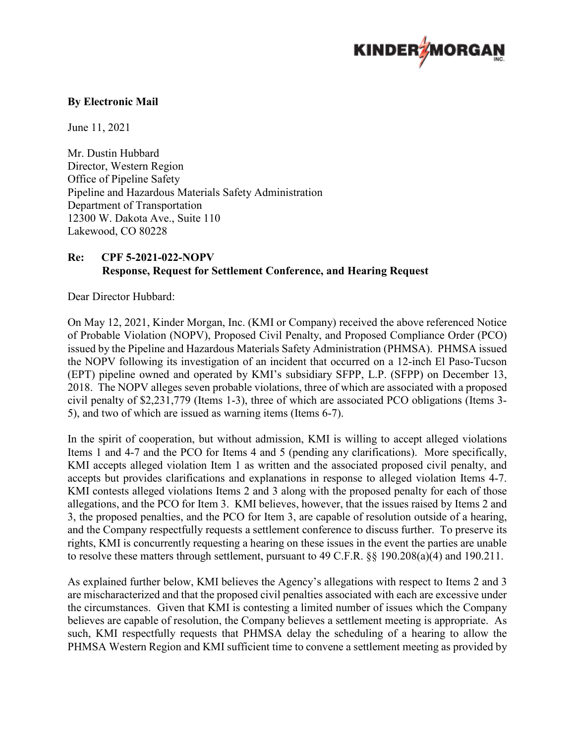

### **By Electronic Mail**

June 11, 2021

Mr. Dustin Hubbard Director, Western Region Office of Pipeline Safety Pipeline and Hazardous Materials Safety Administration Department of Transportation 12300 W. Dakota Ave., Suite 110 Lakewood, CO 80228

# **Re: CPF 5-2021-022-NOPV Response, Request for Settlement Conference, and Hearing Request**

Dear Director Hubbard:

 On May 12, 2021, Kinder Morgan, Inc. (KMI or Company) received the above referenced Notice 5), and two of which are issued as warning items (Items 6-7). of Probable Violation (NOPV), Proposed Civil Penalty, and Proposed Compliance Order (PCO) issued by the Pipeline and Hazardous Materials Safety Administration (PHMSA). PHMSA issued the NOPV following its investigation of an incident that occurred on a 12-inch El Paso-Tucson (EPT) pipeline owned and operated by KMI's subsidiary SFPP, L.P. (SFPP) on December 13, 2018. The NOPV alleges seven probable violations, three of which are associated with a proposed civil penalty of \$2,231,779 (Items 1-3), three of which are associated PCO obligations (Items 3-

 Items 1 and 4-7 and the PCO for Items 4 and 5 (pending any clarifications). More specifically, KMI accepts alleged violation Item 1 as written and the associated proposed civil penalty, and accepts but provides clarifications and explanations in response to alleged violation Items 4-7. allegations, and the PCO for Item 3. KMI believes, however, that the issues raised by Items 2 and and the Company respectfully requests a settlement conference to discuss further. To preserve its In the spirit of cooperation, but without admission, KMI is willing to accept alleged violations KMI contests alleged violations Items 2 and 3 along with the proposed penalty for each of those 3, the proposed penalties, and the PCO for Item 3, are capable of resolution outside of a hearing, rights, KMI is concurrently requesting a hearing on these issues in the event the parties are unable to resolve these matters through settlement, pursuant to 49 C.F.R. §§ 190.208(a)(4) and 190.211.

 the circumstances. Given that KMI is contesting a limited number of issues which the Company As explained further below, KMI believes the Agency's allegations with respect to Items 2 and 3 are mischaracterized and that the proposed civil penalties associated with each are excessive under believes are capable of resolution, the Company believes a settlement meeting is appropriate. As such, KMI respectfully requests that PHMSA delay the scheduling of a hearing to allow the PHMSA Western Region and KMI sufficient time to convene a settlement meeting as provided by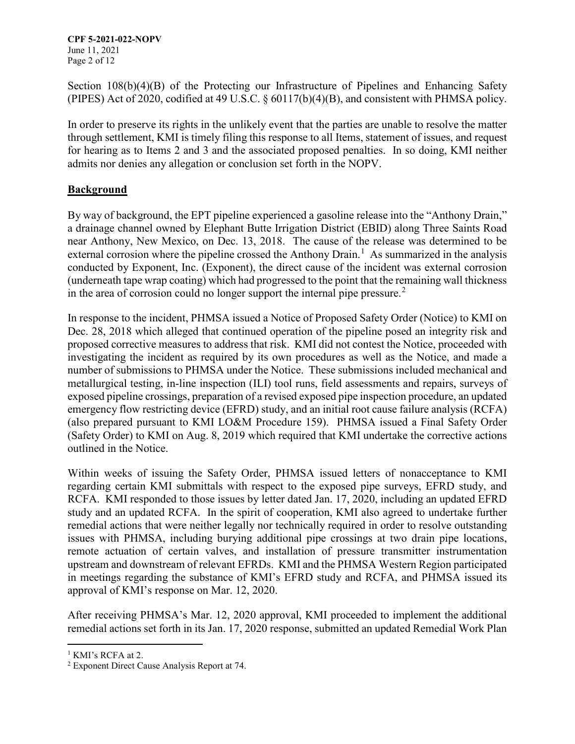**CPF 5-2021-022-NOPV**  Page 2 of 12 June 11, 2021

Section 108(b)(4)(B) of the Protecting our Infrastructure of Pipelines and Enhancing Safety (PIPES) Act of 2020, codified at 49 U.S.C. § 60117(b)(4)(B), and consistent with PHMSA policy.

In order to preserve its rights in the unlikely event that the parties are unable to resolve the matter through settlement, KMI is timely filing this response to all Items, statement of issues, and request for hearing as to Items 2 and 3 and the associated proposed penalties. In so doing, KMI neither admits nor denies any allegation or conclusion set forth in the NOPV.

# **Background**

external corrosion where the pipeline crossed the Anthony Drain.<sup>1</sup> As summarized in the analysis By way of background, the EPT pipeline experienced a gasoline release into the "Anthony Drain," a drainage channel owned by Elephant Butte Irrigation District (EBID) along Three Saints Road near Anthony, New Mexico, on Dec. 13, 2018. The cause of the release was determined to be conducted by Exponent, Inc. (Exponent), the direct cause of the incident was external corrosion (underneath tape wrap coating) which had progressed to the point that the remaining wall thickness in the area of corrosion could no longer support the internal pipe pressure.<sup>2</sup>

 outlined in the Notice. In response to the incident, PHMSA issued a Notice of Proposed Safety Order (Notice) to KMI on Dec. 28, 2018 which alleged that continued operation of the pipeline posed an integrity risk and proposed corrective measures to address that risk. KMI did not contest the Notice, proceeded with investigating the incident as required by its own procedures as well as the Notice, and made a number of submissions to PHMSA under the Notice. These submissions included mechanical and metallurgical testing, in-line inspection (ILI) tool runs, field assessments and repairs, surveys of exposed pipeline crossings, preparation of a revised exposed pipe inspection procedure, an updated emergency flow restricting device (EFRD) study, and an initial root cause failure analysis (RCFA) (also prepared pursuant to KMI LO&M Procedure 159). PHMSA issued a Final Safety Order (Safety Order) to KMI on Aug. 8, 2019 which required that KMI undertake the corrective actions

 study and an updated RCFA. In the spirit of cooperation, KMI also agreed to undertake further Within weeks of issuing the Safety Order, PHMSA issued letters of nonacceptance to KMI regarding certain KMI submittals with respect to the exposed pipe surveys, EFRD study, and RCFA. KMI responded to those issues by letter dated Jan. 17, 2020, including an updated EFRD remedial actions that were neither legally nor technically required in order to resolve outstanding issues with PHMSA, including burying additional pipe crossings at two drain pipe locations, remote actuation of certain valves, and installation of pressure transmitter instrumentation upstream and downstream of relevant EFRDs. KMI and the PHMSA Western Region participated in meetings regarding the substance of KMI's EFRD study and RCFA, and PHMSA issued its approval of KMI's response on Mar. 12, 2020.

After receiving PHMSA's Mar. 12, 2020 approval, KMI proceeded to implement the additional remedial actions set forth in its Jan. 17, 2020 response, submitted an updated Remedial Work Plan

 $\overline{a}$ 

<sup>&</sup>lt;sup>1</sup> KMI's RCFA at 2.

<sup>2</sup> Exponent Direct Cause Analysis Report at 74.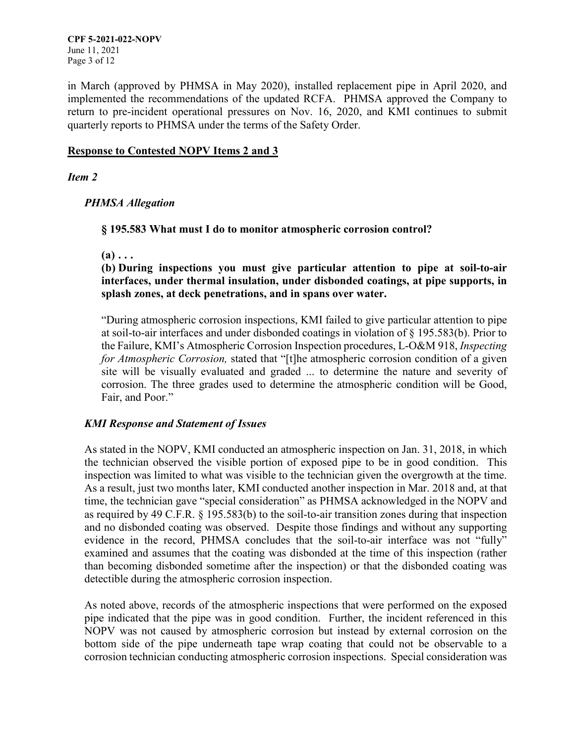in March (approved by PHMSA in May 2020), installed replacement pipe in April 2020, and implemented the recommendations of the updated RCFA. PHMSA approved the Company to return to pre-incident operational pressures on Nov. 16, 2020, and KMI continues to submit quarterly reports to PHMSA under the terms of the Safety Order.

### **Response to Contested NOPV Items 2 and 3**

### *Item 2*

### *PHMSA Allegation*

### **§ 195.583 What must I do to monitor atmospheric corrosion control?**

**(a) . . .** 

**(b) During inspections you must give particular attention to pipe at soil-to-air interfaces, under thermal insulation, under disbonded coatings, at pipe supports, in splash zones, at deck penetrations, and in spans over water.** 

 Fair, and Poor." "During atmospheric corrosion inspections, KMI failed to give particular attention to pipe at soil-to-air interfaces and under disbonded coatings in violation of § 195.583(b). Prior to the Failure, KMI's Atmospheric Corrosion Inspection procedures, L-O&M 918, *Inspecting for Atmospheric Corrosion,* stated that "[t]he atmospheric corrosion condition of a given site will be visually evaluated and graded ... to determine the nature and severity of corrosion. The three grades used to determine the atmospheric condition will be Good,

## *KMI Response and Statement of Issues*

inspection was limited to what was visible to the technician given the overgrowth at the time. As stated in the NOPV, KMI conducted an atmospheric inspection on Jan. 31, 2018, in which the technician observed the visible portion of exposed pipe to be in good condition. This As a result, just two months later, KMI conducted another inspection in Mar. 2018 and, at that time, the technician gave "special consideration" as PHMSA acknowledged in the NOPV and as required by 49 C.F.R. § 195.583(b) to the soil-to-air transition zones during that inspection and no disbonded coating was observed. Despite those findings and without any supporting evidence in the record, PHMSA concludes that the soil-to-air interface was not "fully" examined and assumes that the coating was disbonded at the time of this inspection (rather than becoming disbonded sometime after the inspection) or that the disbonded coating was detectible during the atmospheric corrosion inspection.

 NOPV was not caused by atmospheric corrosion but instead by external corrosion on the As noted above, records of the atmospheric inspections that were performed on the exposed pipe indicated that the pipe was in good condition. Further, the incident referenced in this bottom side of the pipe underneath tape wrap coating that could not be observable to a corrosion technician conducting atmospheric corrosion inspections. Special consideration was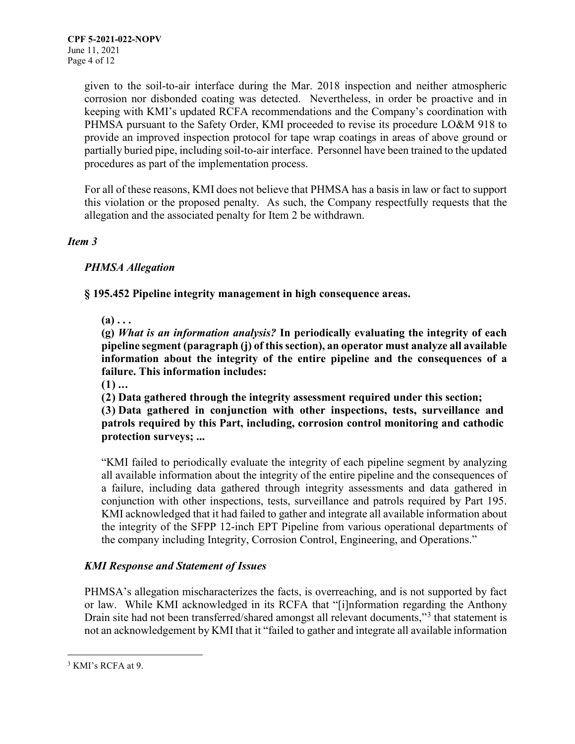PHMSA pursuant to the Safety Order, KMI proceeded to revise its procedure LO&M 918 to provide an improved inspection protocol for tape wrap coatings in areas of above ground or partially buried pipe, including soil-to-air interface. Personnel have been trained to the updated procedures as part of the implementation process. given to the soil-to-air interface during the Mar. 2018 inspection and neither atmospheric corrosion nor disbonded coating was detected. Nevertheless, in order be proactive and in keeping with KMI's updated RCFA recommendations and the Company's coordination with

For all of these reasons, KMI does not believe that PHMSA has a basis in law or fact to support this violation or the proposed penalty. As such, the Company respectfully requests that the allegation and the associated penalty for Item 2 be withdrawn.

### *Item 3*

## *PHMSA Allegation*

**§ 195.452 Pipeline integrity management in high consequence areas.** 

 $(a) \ldots$ 

**(g)** *What is an information analysis?* **In periodically evaluating the integrity of each pipeline segment (paragraph (j) of this section), an operator must analyze all available information about the integrity of the entire pipeline and the consequences of a failure. This information includes:** 

**(1) ...** 

**(2) Data gathered through the integrity assessment required under this section; (3) Data gathered in conjunction with other inspections, tests, surveillance and patrols required by this Part, including, corrosion control monitoring and cathodic protection surveys; ...** 

 conjunction with other inspections, tests, surveillance and patrols required by Part 195. KMI acknowledged that it had failed to gather and integrate all available information about "KMI failed to periodically evaluate the integrity of each pipeline segment by analyzing all available information about the integrity of the entire pipeline and the consequences of a failure, including data gathered through integrity assessments and data gathered in the integrity of the SFPP 12-inch EPT Pipeline from various operational departments of the company including Integrity, Corrosion Control, Engineering, and Operations."

## *KMI Response and Statement of Issues*

 PHMSA's allegation mischaracterizes the facts, is overreaching, and is not supported by fact or law. While KMI acknowledged in its RCFA that "[i]nformation regarding the Anthony Drain site had not been transferred/shared amongst all relevant documents,"3 that statement is not an acknowledgement by KMI that it "failed to gather and integrate all available information

 $\overline{a}$ 

 $3$  KMI's RCFA at 9.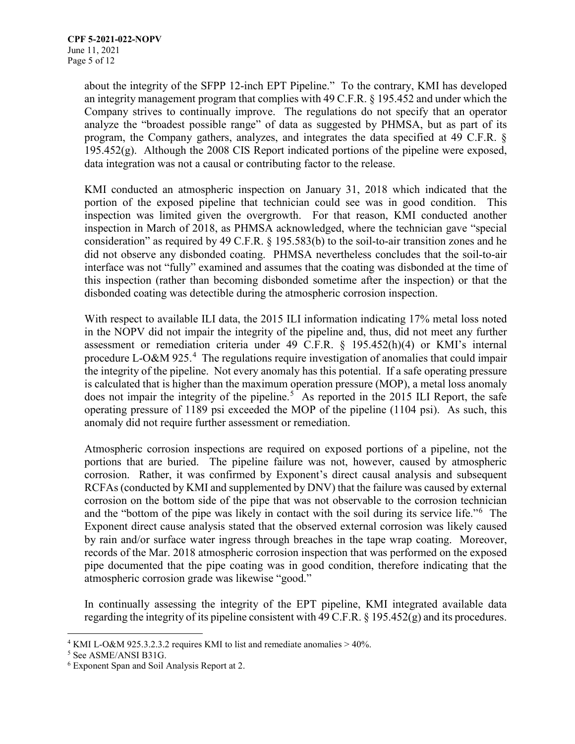data integration was not a causal or contributing factor to the release. about the integrity of the SFPP 12-inch EPT Pipeline." To the contrary, KMI has developed an integrity management program that complies with 49 C.F.R. § 195.452 and under which the Company strives to continually improve. The regulations do not specify that an operator analyze the "broadest possible range" of data as suggested by PHMSA, but as part of its program, the Company gathers, analyzes, and integrates the data specified at 49 C.F.R. §  $195.452(g)$ . Although the 2008 CIS Report indicated portions of the pipeline were exposed,

 consideration" as required by 49 C.F.R. § 195.583(b) to the soil-to-air transition zones and he disbonded coating was detectible during the atmospheric corrosion inspection. KMI conducted an atmospheric inspection on January 31, 2018 which indicated that the portion of the exposed pipeline that technician could see was in good condition. This inspection was limited given the overgrowth. For that reason, KMI conducted another inspection in March of 2018, as PHMSA acknowledged, where the technician gave "special did not observe any disbonded coating. PHMSA nevertheless concludes that the soil-to-air interface was not "fully" examined and assumes that the coating was disbonded at the time of this inspection (rather than becoming disbonded sometime after the inspection) or that the

procedure L-O&M 925.<sup>4</sup> The regulations require investigation of anomalies that could impair the integrity of the pipeline. Not every anomaly has this potential. If a safe operating pressure is calculated that is higher than the maximum operation pressure (MOP), a metal loss anomaly does not impair the integrity of the pipeline.<sup>5</sup> As reported in the 2015 ILI Report, the safe With respect to available ILI data, the 2015 ILI information indicating 17% metal loss noted in the NOPV did not impair the integrity of the pipeline and, thus, did not meet any further assessment or remediation criteria under 49 C.F.R. § 195.452(h)(4) or KMI's internal operating pressure of 1189 psi exceeded the MOP of the pipeline (1104 psi). As such, this anomaly did not require further assessment or remediation.

and the "bottom of the pipe was likely in contact with the soil during its service life."<sup>6</sup> The Exponent direct cause analysis stated that the observed external corrosion was likely caused pipe documented that the pipe coating was in good condition, therefore indicating that the atmospheric corrosion grade was likewise "good." Atmospheric corrosion inspections are required on exposed portions of a pipeline, not the portions that are buried. The pipeline failure was not, however, caused by atmospheric corrosion. Rather, it was confirmed by Exponent's direct causal analysis and subsequent RCFAs (conducted by KMI and supplemented by DNV) that the failure was caused by external corrosion on the bottom side of the pipe that was not observable to the corrosion technician by rain and/or surface water ingress through breaches in the tape wrap coating. Moreover, records of the Mar. 2018 atmospheric corrosion inspection that was performed on the exposed

regarding the integrity of its pipeline consistent with 49 C.F.R. § 195.452(g) and its procedures.<br><sup>4</sup> KMI L-O&M 925.3.2.3.2 requires KMI to list and remediate anomalies > 40%.<br><sup>5</sup> See ASME/ANSI B31G. In continually assessing the integrity of the EPT pipeline, KMI integrated available data

<sup>&</sup>lt;u>.</u>

<sup>6</sup> Exponent Span and Soil Analysis Report at 2.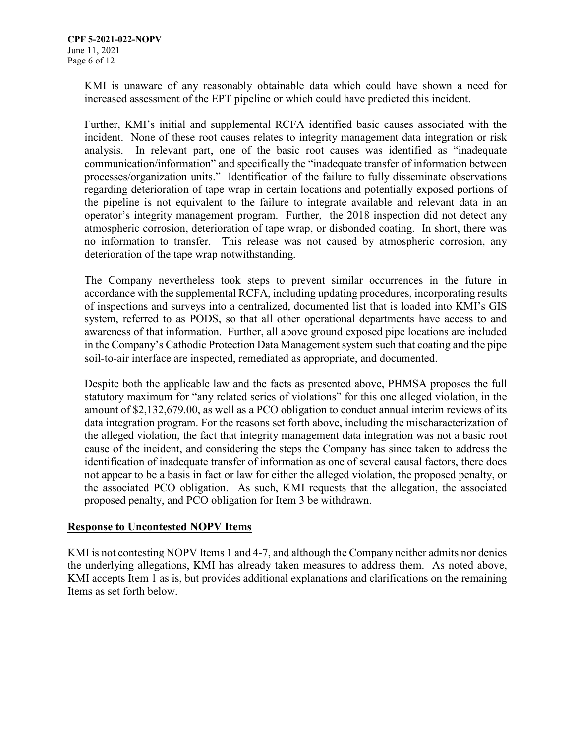increased assessment of the EPT pipeline or which could have predicted this incident. KMI is unaware of any reasonably obtainable data which could have shown a need for

 Further, KMI's initial and supplemental RCFA identified basic causes associated with the incident. None of these root causes relates to integrity management data integration or risk analysis. In relevant part, one of the basic root causes was identified as "inadequate atmospheric corrosion, deterioration of tape wrap, or disbonded coating. In short, there was communication/information" and specifically the "inadequate transfer of information between processes/organization units." Identification of the failure to fully disseminate observations regarding deterioration of tape wrap in certain locations and potentially exposed portions of the pipeline is not equivalent to the failure to integrate available and relevant data in an operator's integrity management program. Further, the 2018 inspection did not detect any no information to transfer. This release was not caused by atmospheric corrosion, any deterioration of the tape wrap notwithstanding.

 in the Company's Cathodic Protection Data Management system such that coating and the pipe The Company nevertheless took steps to prevent similar occurrences in the future in accordance with the supplemental RCFA, including updating procedures, incorporating results of inspections and surveys into a centralized, documented list that is loaded into KMI's GIS system, referred to as PODS, so that all other operational departments have access to and awareness of that information. Further, all above ground exposed pipe locations are included soil-to-air interface are inspected, remediated as appropriate, and documented.

 the alleged violation, the fact that integrity management data integration was not a basic root Despite both the applicable law and the facts as presented above, PHMSA proposes the full statutory maximum for "any related series of violations" for this one alleged violation, in the amount of [\\$2,132,679.00](https://2,132,679.00), as well as a PCO obligation to conduct annual interim reviews of its data integration program. For the reasons set forth above, including the mischaracterization of cause of the incident, and considering the steps the Company has since taken to address the identification of inadequate transfer of information as one of several causal factors, there does not appear to be a basis in fact or law for either the alleged violation, the proposed penalty, or the associated PCO obligation. As such, KMI requests that the allegation, the associated proposed penalty, and PCO obligation for Item 3 be withdrawn.

## **Response to Uncontested NOPV Items**

 KMI is not contesting NOPV Items 1 and 4-7, and although the Company neither admits nor denies the underlying allegations, KMI has already taken measures to address them. As noted above, KMI accepts Item 1 as is, but provides additional explanations and clarifications on the remaining Items as set forth below.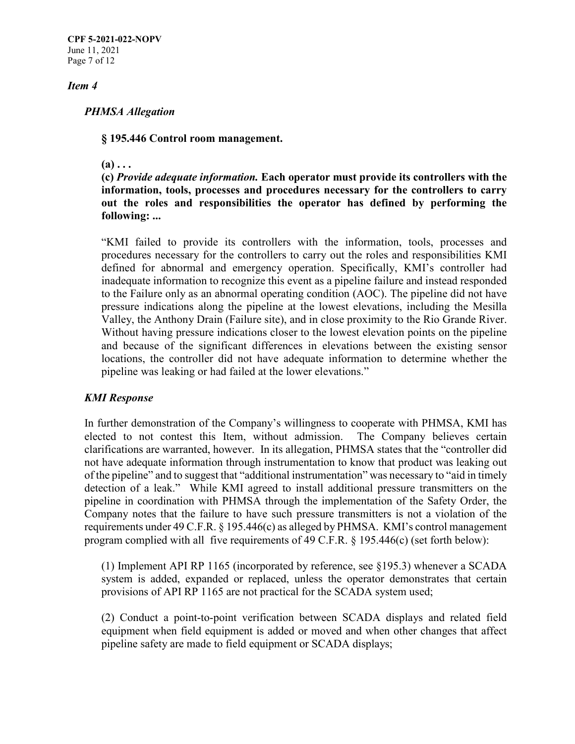**CPF 5-2021-022-NOPV**  Page 7 of 12 June 11, 2021

#### *Item 4*

#### *PHMSA Allegation*

#### **§ 195.446 Control room management.**

#### $(a) \ldots$

**(c)** *Provide adequate information.* **Each operator must provide its controllers with the information, tools, processes and procedures necessary for the controllers to carry out the roles and responsibilities the operator has defined by performing the following: ...** 

 "KMI failed to provide its controllers with the information, tools, processes and procedures necessary for the controllers to carry out the roles and responsibilities KMI inadequate information to recognize this event as a pipeline failure and instead responded to the Failure only as an abnormal operating condition (AOC). The pipeline did not have Valley, the Anthony Drain (Failure site), and in close proximity to the Rio Grande River. Without having pressure indications closer to the lowest elevation points on the pipeline and because of the significant differences in elevations between the existing sensor locations, the controller did not have adequate information to determine whether the pipeline was leaking or had failed at the lower elevations." defined for abnormal and emergency operation. Specifically, KMI's controller had pressure indications along the pipeline at the lowest elevations, including the Mesilla

### *KMI Response*

 detection of a leak." While KMI agreed to install additional pressure transmitters on the pipeline in coordination with PHMSA through the implementation of the Safety Order, the program complied with all five requirements of 49 C.F.R.  $\S$  195.446(c) (set forth below): In further demonstration of the Company's willingness to cooperate with PHMSA, KMI has elected to not contest this Item, without admission. The Company believes certain clarifications are warranted, however. In its allegation, PHMSA states that the "controller did not have adequate information through instrumentation to know that product was leaking out of the pipeline" and to suggest that "additional instrumentation" was necessary to "aid in timely Company notes that the failure to have such pressure transmitters is not a violation of the requirements under 49 C.F.R. § 195.446(c) as alleged by PHMSA. KMI's control management

(1) Implement API RP 1165 (incorporated by reference, see §195.3) whenever a SCADA system is added, expanded or replaced, unless the operator demonstrates that certain provisions of API RP 1165 are not practical for the SCADA system used;

 equipment when field equipment is added or moved and when other changes that affect (2) Conduct a point-to-point verification between SCADA displays and related field pipeline safety are made to field equipment or SCADA displays;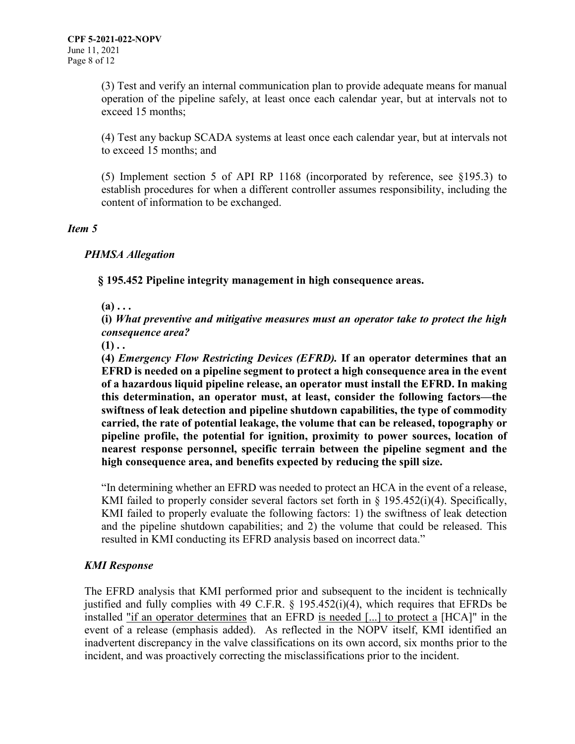(3) Test and verify an internal communication plan to provide adequate means for manual operation of the pipeline safely, at least once each calendar year, but at intervals not to exceed 15 months;

(4) Test any backup SCADA systems at least once each calendar year, but at intervals not to exceed 15 months; and

(5) Implement section 5 of API RP 1168 (incorporated by reference, see §195.3) to establish procedures for when a different controller assumes responsibility, including the content of information to be exchanged.

#### *Item 5*

### *PHMSA Allegation*

**§ 195.452 Pipeline integrity management in high consequence areas.** 

 $(a) \ldots$ 

**(i)** *What preventive and mitigative measures must an operator take to protect the high consequence area?* 

 $(1)$ ..

 **pipeline profile, the potential for ignition, proximity to power sources, location of high consequence area, and benefits expected by reducing the spill size. (4)** *Emergency Flow Restricting Devices (EFRD).* **If an operator determines that an EFRD is needed on a pipeline segment to protect a high consequence area in the event of a hazardous liquid pipeline release, an operator must install the EFRD. In making this determination, an operator must, at least, consider the following factors—the swiftness of leak detection and pipeline shutdown capabilities, the type of commodity carried, the rate of potential leakage, the volume that can be released, topography or nearest response personnel, specific terrain between the pipeline segment and the** 

 "In determining whether an EFRD was needed to protect an HCA in the event of a release, KMI failed to properly consider several factors set forth in § 195.452(i)(4). Specifically, KMI failed to properly evaluate the following factors: 1) the swiftness of leak detection and the pipeline shutdown capabilities; and 2) the volume that could be released. This resulted in KMI conducting its EFRD analysis based on incorrect data."

## *KMI Response*

installed "if an operator determines that an EFRD is needed [...] to protect a [HCA]" in the The EFRD analysis that KMI performed prior and subsequent to the incident is technically justified and fully complies with 49 C.F.R. § 195.452(i)(4), which requires that EFRDs be event of a release (emphasis added). As reflected in the NOPV itself, KMI identified an inadvertent discrepancy in the valve classifications on its own accord, six months prior to the incident, and was proactively correcting the misclassifications prior to the incident.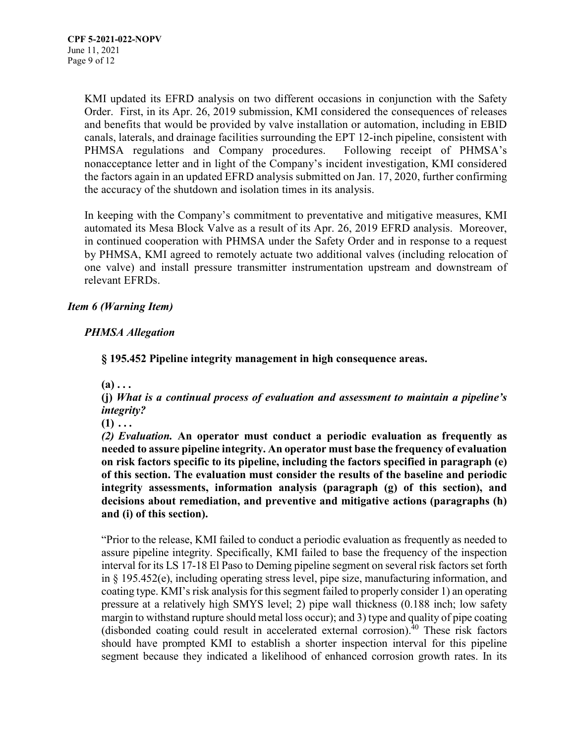Order. First, in its Apr. 26, 2019 submission, KMI considered the consequences of releases the accuracy of the shutdown and isolation times in its analysis. KMI updated its EFRD analysis on two different occasions in conjunction with the Safety and benefits that would be provided by valve installation or automation, including in EBID canals, laterals, and drainage facilities surrounding the EPT 12-inch pipeline, consistent with PHMSA regulations and Company procedures. Following receipt of PHMSA's nonacceptance letter and in light of the Company's incident investigation, KMI considered the factors again in an updated EFRD analysis submitted on Jan. 17, 2020, further confirming

 In keeping with the Company's commitment to preventative and mitigative measures, KMI automated its Mesa Block Valve as a result of its Apr. 26, 2019 EFRD analysis. Moreover, in continued cooperation with PHMSA under the Safety Order and in response to a request one valve) and install pressure transmitter instrumentation upstream and downstream of by PHMSA, KMI agreed to remotely actuate two additional valves (including relocation of relevant EFRDs.

## *Item 6 (Warning Item)*

# *PHMSA Allegation*

**§ 195.452 Pipeline integrity management in high consequence areas.** 

 $(a) \ldots$ 

**(j)** *What is a continual process of evaluation and assessment to maintain a pipeline's integrity?* 

 $(1)$   $\dots$ 

*(2) Evaluation.* **An operator must conduct a periodic evaluation as frequently as needed to assure pipeline integrity. An operator must base the frequency of evaluation on risk factors specific to its pipeline, including the factors specified in paragraph (e) of this section. The evaluation must consider the results of the baseline and periodic integrity assessments, information analysis (paragraph (g) of this section), and decisions about remediation, and preventive and mitigative actions (paragraphs (h) and (i) of this section).** 

 "Prior to the release, KMI failed to conduct a periodic evaluation as frequently as needed to assure pipeline integrity. Specifically, KMI failed to base the frequency of the inspection interval for its LS 17-18 El Paso to Deming pipeline segment on several risk factors set forth in § 195.452(e), including operating stress level, pipe size, manufacturing information, and pressure at a relatively high SMYS level; 2) pipe wall thickness (0.188 inch; low safety margin to withstand rupture should metal loss occur); and 3) type and quality of pipe coating should have prompted KMI to establish a shorter inspection interval for this pipeline coating type. KMI's risk analysis for this segment failed to properly consider 1) an operating (disbonded coating could result in accelerated external corrosion). $40$  These risk factors segment because they indicated a likelihood of enhanced corrosion growth rates. In its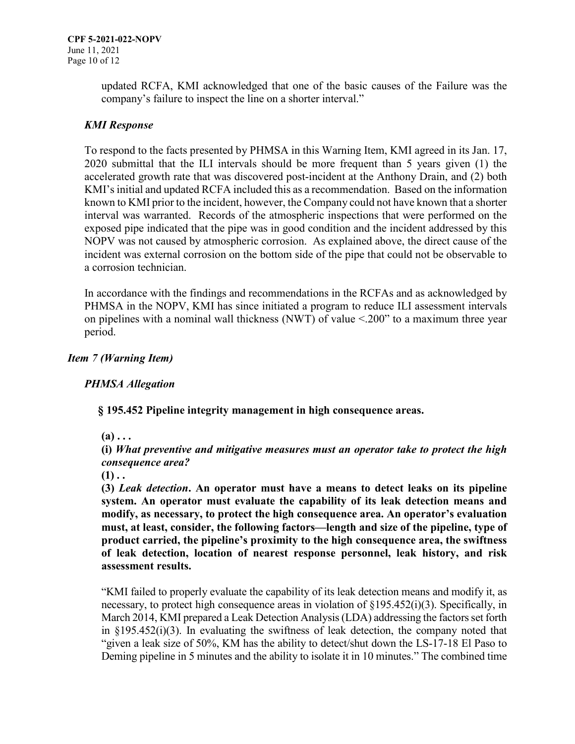updated RCFA, KMI acknowledged that one of the basic causes of the Failure was the company's failure to inspect the line on a shorter interval."

# *KMI Response*

 To respond to the facts presented by PHMSA in this Warning Item, KMI agreed in its Jan. 17, 2020 submittal that the ILI intervals should be more frequent than 5 years given (1) the interval was warranted. Records of the atmospheric inspections that were performed on the accelerated growth rate that was discovered post-incident at the Anthony Drain, and (2) both KMI's initial and updated RCFA included this as a recommendation. Based on the information known to KMI prior to the incident, however, the Company could not have known that a shorter exposed pipe indicated that the pipe was in good condition and the incident addressed by this NOPV was not caused by atmospheric corrosion. As explained above, the direct cause of the incident was external corrosion on the bottom side of the pipe that could not be observable to a corrosion technician.

 on pipelines with a nominal wall thickness (NWT) of value <.200" to a maximum three year In accordance with the findings and recommendations in the RCFAs and as acknowledged by PHMSA in the NOPV, KMI has since initiated a program to reduce ILI assessment intervals period.

## *Item 7 (Warning Item)*

## *PHMSA Allegation*

**§ 195.452 Pipeline integrity management in high consequence areas.** 

 $(a) \ldots$ 

**(i)** *What preventive and mitigative measures must an operator take to protect the high consequence area?* 

 $(1)$ ..

**(3)** *Leak detection***. An operator must have a means to detect leaks on its pipeline system. An operator must evaluate the capability of its leak detection means and modify, as necessary, to protect the high consequence area. An operator's evaluation must, at least, consider, the following factors—length and size of the pipeline, type of product carried, the pipeline's proximity to the high consequence area, the swiftness of leak detection, location of nearest response personnel, leak history, and risk assessment results.** 

 "KMI failed to properly evaluate the capability of its leak detection means and modify it, as March 2014, KMI prepared a Leak Detection Analysis (LDA) addressing the factors set forth necessary, to protect high consequence areas in violation of §195.452(i)(3). Specifically, in in §195.452(i)(3). In evaluating the swiftness of leak detection, the company noted that "given a leak size of 50%, KM has the ability to detect/shut down the LS-17-18 El Paso to Deming pipeline in 5 minutes and the ability to isolate it in 10 minutes." The combined time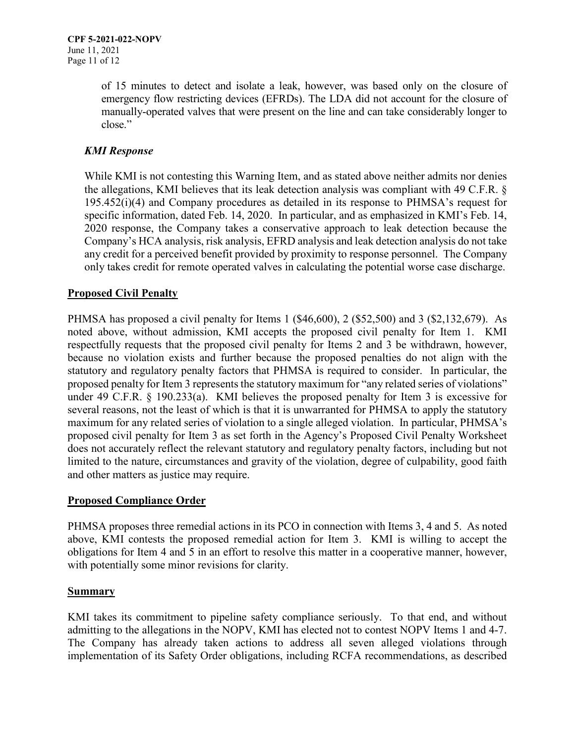emergency flow restricting devices (EFRDs). The LDA did not account for the closure of of 15 minutes to detect and isolate a leak, however, was based only on the closure of manually-operated valves that were present on the line and can take considerably longer to close."

# *KMI Response*

 specific information, dated Feb. 14, 2020. In particular, and as emphasized in KMI's Feb. 14, While KMI is not contesting this Warning Item, and as stated above neither admits nor denies the allegations, KMI believes that its leak detection analysis was compliant with 49 C.F.R. § 195.452(i)(4) and Company procedures as detailed in its response to PHMSA's request for 2020 response, the Company takes a conservative approach to leak detection because the Company's HCA analysis, risk analysis, EFRD analysis and leak detection analysis do not take any credit for a perceived benefit provided by proximity to response personnel. The Company only takes credit for remote operated valves in calculating the potential worse case discharge.

## **Proposed Civil Penalty**

 statutory and regulatory penalty factors that PHMSA is required to consider. In particular, the under 49 C.F.R. § 190.233(a). KMI believes the proposed penalty for Item 3 is excessive for maximum for any related series of violation to a single alleged violation. In particular, PHMSA's does not accurately reflect the relevant statutory and regulatory penalty factors, including but not and other matters as justice may require. PHMSA has proposed a civil penalty for Items 1 (\$46,600), 2 (\$52,500) and 3 (\$2,132,679). As noted above, without admission, KMI accepts the proposed civil penalty for Item 1. KMI respectfully requests that the proposed civil penalty for Items 2 and 3 be withdrawn, however, because no violation exists and further because the proposed penalties do not align with the proposed penalty for Item 3 represents the statutory maximum for "any related series of violations" several reasons, not the least of which is that it is unwarranted for PHMSA to apply the statutory proposed civil penalty for Item 3 as set forth in the Agency's Proposed Civil Penalty Worksheet limited to the nature, circumstances and gravity of the violation, degree of culpability, good faith

## **Proposed Compliance Order**

 PHMSA proposes three remedial actions in its PCO in connection with Items 3, 4 and 5. As noted above, KMI contests the proposed remedial action for Item 3. KMI is willing to accept the with potentially some minor revisions for clarity. obligations for Item 4 and 5 in an effort to resolve this matter in a cooperative manner, however,

### **Summary**

KMI takes its commitment to pipeline safety compliance seriously. To that end, and without admitting to the allegations in the NOPV, KMI has elected not to contest NOPV Items 1 and 4-7. The Company has already taken actions to address all seven alleged violations through implementation of its Safety Order obligations, including RCFA recommendations, as described